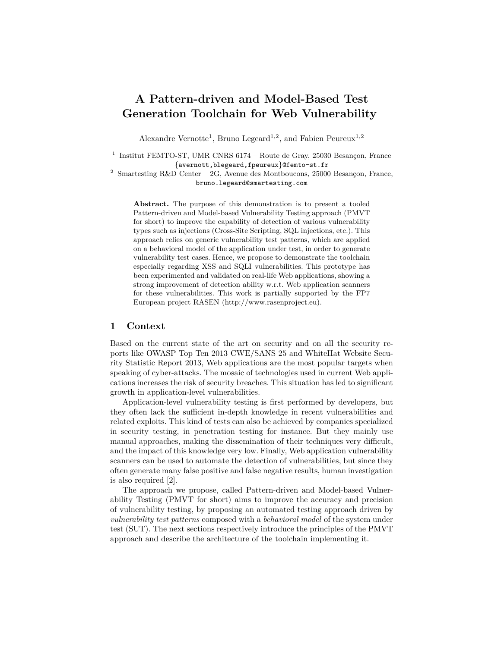# **A Pattern-driven and Model-Based Test Generation Toolchain for Web Vulnerability**

Alexandre Vernotte<sup>1</sup>, Bruno Legeard<sup>1,2</sup>, and Fabien Peureux<sup>1,2</sup>

 $1$  Institut FEMTO-ST, UMR CNRS 6174 – Route de Gray, 25030 Besançon, France {avernott,blegeard,fpeureux}@femto-st.fr

 $^2\,$  Smartesting R&D Center – 2G, Avenue des Montboucons, 25000 Besançon, France, bruno.legeard@smartesting.com

**Abstract.** The purpose of this demonstration is to present a tooled Pattern-driven and Model-based Vulnerability Testing approach (PMVT for short) to improve the capability of detection of various vulnerability types such as injections (Cross-Site Scripting, SQL injections, etc.). This approach relies on generic vulnerability test patterns, which are applied on a behavioral model of the application under test, in order to generate vulnerability test cases. Hence, we propose to demonstrate the toolchain especially regarding XSS and SQLI vulnerabilities. This prototype has been experimented and validated on real-life Web applications, showing a strong improvement of detection ability w.r.t. Web application scanners for these vulnerabilities. This work is partially supported by the FP7 European project RASEN (http://www.rasenproject.eu).

#### **1 Context**

Based on the current state of the art on security and on all the security reports like OWASP Top Ten 2013 CWE/SANS 25 and WhiteHat Website Security Statistic Report 2013, Web applications are the most popular targets when speaking of cyber-attacks. The mosaic of technologies used in current Web applications increases the risk of security breaches. This situation has led to significant growth in application-level vulnerabilities.

Application-level vulnerability testing is first performed by developers, but they often lack the sufficient in-depth knowledge in recent vulnerabilities and related exploits. This kind of tests can also be achieved by companies specialized in security testing, in penetration testing for instance. But they mainly use manual approaches, making the dissemination of their techniques very difficult, and the impact of this knowledge very low. Finally, Web application vulnerability scanners can be used to automate the detection of vulnerabilities, but since they often generate many false positive and false negative results, human investigation is also required [2].

The approach we propose, called Pattern-driven and Model-based Vulnerability Testing (PMVT for short) aims to improve the accuracy and precision of vulnerability testing, by proposing an automated testing approach driven by *vulnerability test patterns* composed with a *behavioral model* of the system under test (SUT). The next sections respectively introduce the principles of the PMVT approach and describe the architecture of the toolchain implementing it.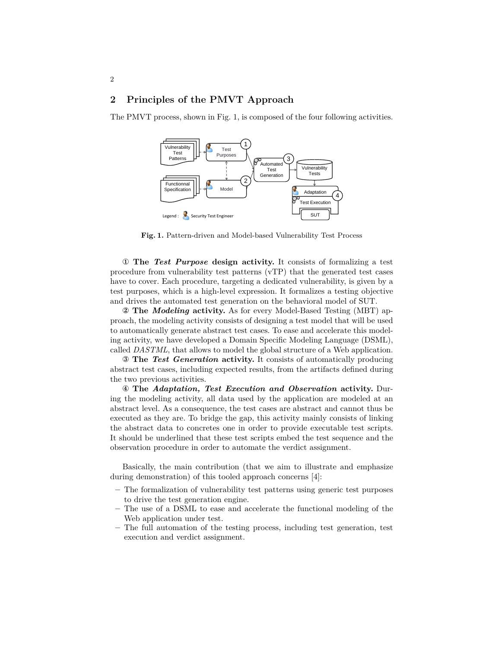## **2 Principles of the PMVT Approach**

2

The PMVT process, shown in Fig. 1, is composed of the four following activities.



**Fig. 1.** Pattern-driven and Model-based Vulnerability Test Process

① **The** *Test Purpose* **design activity.** It consists of formalizing a test procedure from vulnerability test patterns (vTP) that the generated test cases have to cover. Each procedure, targeting a dedicated vulnerability, is given by a test purposes, which is a high-level expression. It formalizes a testing objective and drives the automated test generation on the behavioral model of SUT.

② **The** *Modeling* **activity.** As for every Model-Based Testing (MBT) approach, the modeling activity consists of designing a test model that will be used to automatically generate abstract test cases. To ease and accelerate this modeling activity, we have developed a Domain Specific Modeling Language (DSML), called *DASTML*, that allows to model the global structure of a Web application.

③ **The** *Test Generation* **activity.** It consists of automatically producing abstract test cases, including expected results, from the artifacts defined during the two previous activities.

④ **The** *Adaptation, Test Execution and Observation* **activity.** During the modeling activity, all data used by the application are modeled at an abstract level. As a consequence, the test cases are abstract and cannot thus be executed as they are. To bridge the gap, this activity mainly consists of linking the abstract data to concretes one in order to provide executable test scripts. It should be underlined that these test scripts embed the test sequence and the observation procedure in order to automate the verdict assignment.

Basically, the main contribution (that we aim to illustrate and emphasize during demonstration) of this tooled approach concerns [4]:

- **–** The formalization of vulnerability test patterns using generic test purposes to drive the test generation engine.
- **–** The use of a DSML to ease and accelerate the functional modeling of the Web application under test.
- **–** The full automation of the testing process, including test generation, test execution and verdict assignment.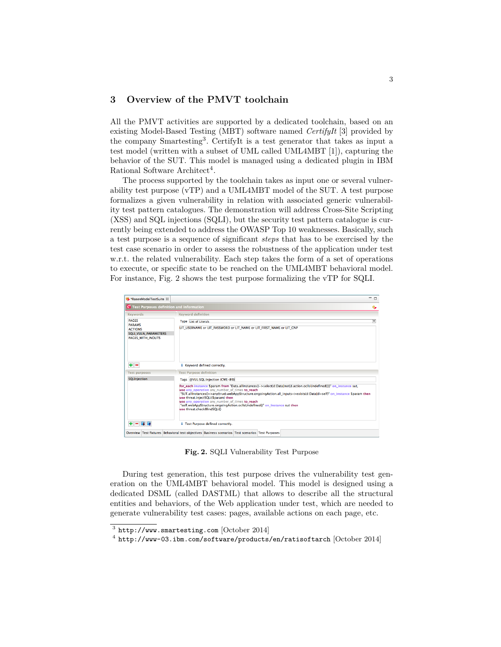## **3 Overview of the PMVT toolchain**

All the PMVT activities are supported by a dedicated toolchain, based on an existing Model-Based Testing (MBT) software named *CertifyIt* [3] provided by the company Smartesting<sup>3</sup> . CertifyIt is a test generator that takes as input a test model (written with a subset of UML called UML4MBT [1]), capturing the behavior of the SUT. This model is managed using a dedicated plugin in IBM Rational Software Architect<sup>4</sup>.

The process supported by the toolchain takes as input one or several vulnerability test purpose (vTP) and a UML4MBT model of the SUT. A test purpose formalizes a given vulnerability in relation with associated generic vulnerability test pattern catalogues. The demonstration will address Cross-Site Scripting (XSS) and SQL injections (SQLI), but the security test pattern catalogue is currently being extended to address the OWASP Top 10 weaknesses. Basically, such a test purpose is a sequence of significant *steps* that has to be exercised by the test case scenario in order to assess the robustness of the application under test w.r.t. the related vulnerability. Each step takes the form of a set of operations to execute, or specific state to be reached on the UML4MBT behavioral model. For instance, Fig. 2 shows the test purpose formalizing the vTP for SQLI.

| <b>RasenModelTestSuite 23</b>                                                                       |                                                                                                                                                                                                                                                                                                                                                                                                                                                                                                       | $ -$                    |
|-----------------------------------------------------------------------------------------------------|-------------------------------------------------------------------------------------------------------------------------------------------------------------------------------------------------------------------------------------------------------------------------------------------------------------------------------------------------------------------------------------------------------------------------------------------------------------------------------------------------------|-------------------------|
| C Test Purposes definition and information                                                          |                                                                                                                                                                                                                                                                                                                                                                                                                                                                                                       | ٠                       |
| <b>Keywords</b>                                                                                     | <b>Keyword definition</b>                                                                                                                                                                                                                                                                                                                                                                                                                                                                             |                         |
| <b>PAGES</b><br><b>PARAMS</b><br><b>ACTIONS</b><br><b>SQLI VULN PARAMETERS</b><br>PAGES WITH INOUTS | <b>Type</b> List of Literals                                                                                                                                                                                                                                                                                                                                                                                                                                                                          | $\overline{\mathbf{v}}$ |
|                                                                                                     | LIT USERNAME or LIT PASSWORD or LIT NAME or LIT FIRST NAME or LIT CNP                                                                                                                                                                                                                                                                                                                                                                                                                                 |                         |
|                                                                                                     |                                                                                                                                                                                                                                                                                                                                                                                                                                                                                                       |                         |
| $+ -$<br><b>Test purposes</b>                                                                       | i Keyword defined correctly.<br><b>Test Purpose definition</b>                                                                                                                                                                                                                                                                                                                                                                                                                                        |                         |
| <b>SQLInjection</b>                                                                                 | Tags @VUL:SQL:Injection (CWE-89)                                                                                                                                                                                                                                                                                                                                                                                                                                                                      |                         |
|                                                                                                     | for each instance Sparam from "Data.allInstances()->select(d:DataInot(d.action.ocl sUndefined()))" on instance sut.<br>use any operation any number of times to reach<br>"SUT.allInstances()->any(true).webAppStructure.ongoingAction.all_inputs->exists(d:Data d=self)" on_instance \$param then<br>use threat.injectSQLi(Sparam) then<br>use any operation any number of times to reach<br>"self.webAppStructure.ongoingAction.oclIsUndefined()" on instance sut then<br>use threat.checkBlindSOLi0 |                         |
| <b>E</b> F<br>$+ -$                                                                                 | i Test Purpose defined correctly.<br>Overview Test fixtures Behavioral test objectives Business scenarios Test scenarios Test Purposes                                                                                                                                                                                                                                                                                                                                                                |                         |

**Fig. 2.** SQLI Vulnerability Test Purpose

During test generation, this test purpose drives the vulnerability test generation on the UML4MBT behavioral model. This model is designed using a dedicated DSML (called DASTML) that allows to describe all the structural entities and behaviors, of the Web application under test, which are needed to generate vulnerability test cases: pages, available actions on each page, etc.

 $3$  http://www.smartesting.com [October 2014]

 $^4$  http://www-03.ibm.com/software/products/en/ratisoftarch [October 2014]